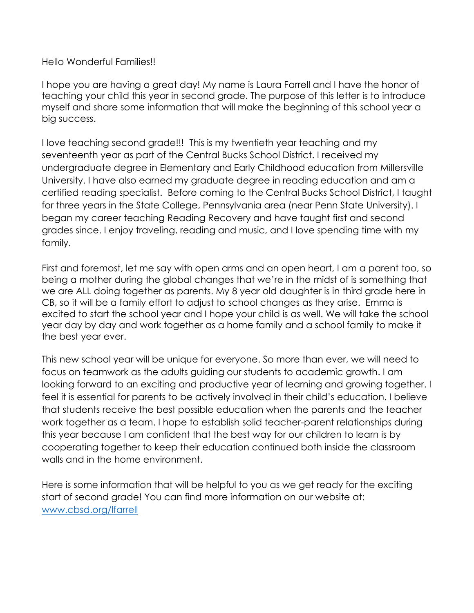Hello Wonderful Families!!

I hope you are having a great day! My name is Laura Farrell and I have the honor of teaching your child this year in second grade. The purpose of this letter is to introduce myself and share some information that will make the beginning of this school year a big success.

I love teaching second grade!!! This is my twentieth year teaching and my seventeenth year as part of the Central Bucks School District. I received my undergraduate degree in Elementary and Early Childhood education from Millersville University. I have also earned my graduate degree in reading education and am a certified reading specialist. Before coming to the Central Bucks School District, I taught for three years in the State College, Pennsylvania area (near Penn State University). I began my career teaching Reading Recovery and have taught first and second grades since. I enjoy traveling, reading and music, and I love spending time with my family.

First and foremost, let me say with open arms and an open heart, I am a parent too, so being a mother during the global changes that we're in the midst of is something that we are ALL doing together as parents. My 8 year old daughter is in third grade here in CB, so it will be a family effort to adjust to school changes as they arise. Emma is excited to start the school year and I hope your child is as well. We will take the school year day by day and work together as a home family and a school family to make it the best year ever.

This new school year will be unique for everyone. So more than ever, we will need to focus on teamwork as the adults guiding our students to academic growth. I am looking forward to an exciting and productive year of learning and growing together. I feel it is essential for parents to be actively involved in their child's education. I believe that students receive the best possible education when the parents and the teacher work together as a team. I hope to establish solid teacher-parent relationships during this year because I am confident that the best way for our children to learn is by cooperating together to keep their education continued both inside the classroom walls and in the home environment.

Here is some information that will be helpful to you as we get ready for the exciting start of second grade! You can find more information on our website at: [www.cbsd.org/lfarrell](http://www.cbsd.org/lfarrell)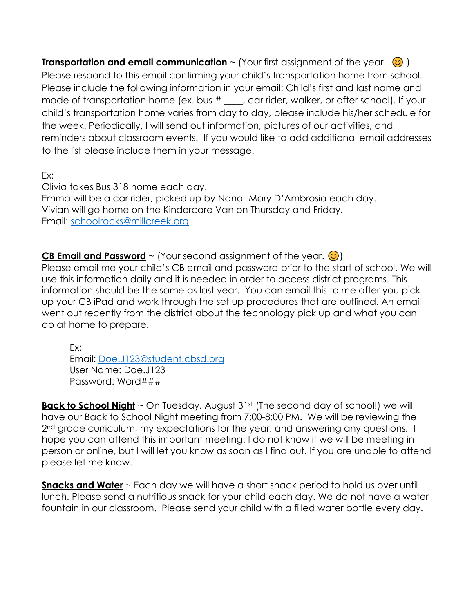**Transportation and email communication** ~ (Your first assignment of the year.  $\odot$ ) Please respond to this email confirming your child's transportation home from school. Please include the following information in your email: Child's first and last name and mode of transportation home (ex. bus # \_\_\_, car rider, walker, or after school). If your child's transportation home varies from day to day, please include his/her schedule for the week. Periodically, I will send out information, pictures of our activities, and reminders about classroom events. If you would like to add additional email addresses to the list please include them in your message.

Ex:

Olivia takes Bus 318 home each day. Emma will be a car rider, picked up by Nana- Mary D'Ambrosia each day. Vivian will go home on the Kindercare Van on Thursday and Friday. Email: [schoolrocks@millcreek.org](mailto:schoolrocks@millcreek.org)

**CB Email and Password**  $\sim$  (Your second assignment of the year.  $\circledcirc$ )

Please email me your child's CB email and password prior to the start of school. We will use this information daily and it is needed in order to access district programs. This information should be the same as last year. You can email this to me after you pick up your CB iPad and work through the set up procedures that are outlined. An email went out recently from the district about the technology pick up and what you can do at home to prepare.

Ex:

Email: [Doe.J123@student.cbsd.org](mailto:Doe.J123@student.cbsd.org) User Name: Doe.J123 Password: Word###

**Back to School Night** ~ On Tuesday, August 31<sup>st</sup> (The second day of school!) we will have our Back to School Night meeting from 7:00-8:00 PM. We will be reviewing the 2<sup>nd</sup> grade curriculum, my expectations for the year, and answering any questions. I hope you can attend this important meeting. I do not know if we will be meeting in person or online, but I will let you know as soon as I find out. If you are unable to attend please let me know.

**Snacks and Water** ~ Each day we will have a short snack period to hold us over until lunch. Please send a nutritious snack for your child each day. We do not have a water fountain in our classroom. Please send your child with a filled water bottle every day.